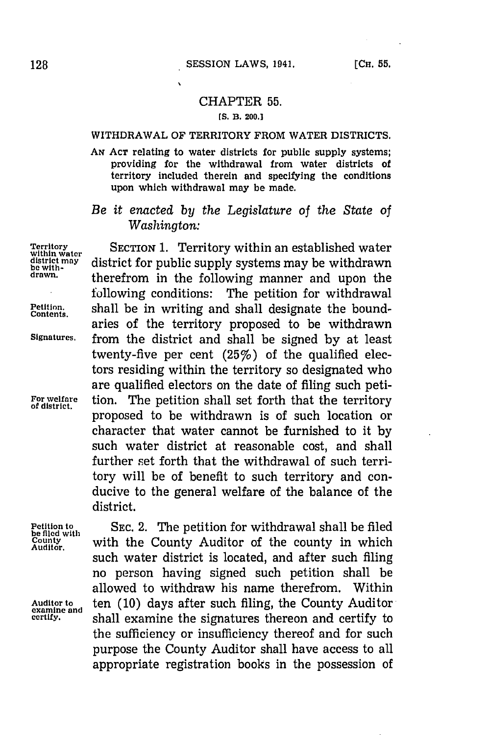$\lambda$ 

## CHAPTER **55.**

## **[S. B. 200.]**

## WITHDRAWAL OF TERRITORY FROM WATER DISTRICTS.

**AN ACT** relating to water districts for public supply systems; providing for the withdrawal from water districts of territory included therein and specifying the conditions upon which withdrawal may be made.

*Be it enacted by the Legislature of the State of Washington:*

Territory<br>
within water<br>
within water<br>
district for public supply systems may be withdrawn<br>
district for public supply systems may be withdrawn<br>
therefrom in the following manner and upon the following conditions: The petition for withdrawal **Petition.** shall be in writing and shall designate the bound- **Contents,** aries of the territory proposed to be withdrawn **Signatures.** from the district and shall be signed **by** at least twenty-five per cent  $(25\%)$  of the qualified electors residing within the territory so designated who are qualified electors on the date of filing such peti-For welfare **tion.** The petition shall set forth that the territory of district. proposed to be withdrawn is of such location or character that water cannot be furnished to it **by** such water district at reasonable cost, and shall further set forth that the withdrawal of such territory will be of benefit to such territory and conducive to the general welfare of the balance of the district.

**Auditor.**

**Petition to SEC. 2. The petition for withdrawal shall be filed**<br>be filed with writh the County Auditor of the county in which with the County Auditor of the county in which such water district is located, and after such filing no person having signed such petition shall be allowed to withdraw his name therefrom. Within Auditor to **the Conservation Conservation** Constantine and **certify**, **certify**, **certify** to **certify**, **certify** to the sufficiency or insufficiency thereof and for such purpose the County Auditor shall have access to all appropriate registration books in the possession of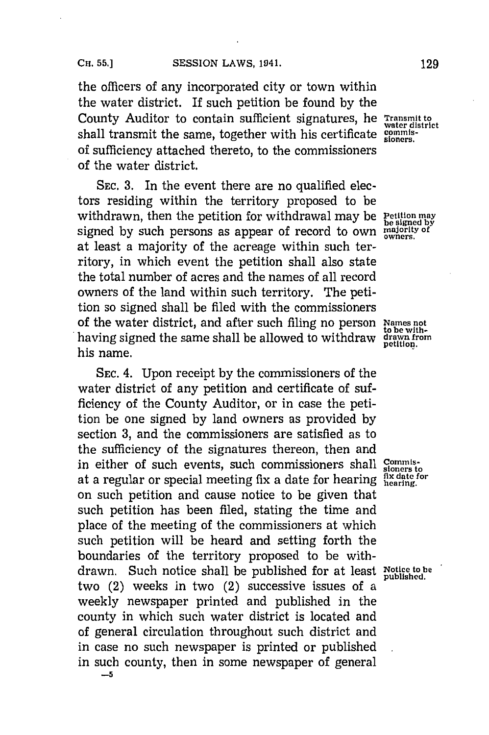the officers of any incorporated city or town within the water district. If such petition be found **by** the County Auditor to contain sufficient signatures, he **Transmit to** shall transmit the same, together with his certificate commisof sufficiency attached thereto, to the commissioners of the water district.

**SEC. 3.** In the event there are no qualified electors residing within the territory proposed to be withdrawn, then the petition for withdrawal may be **Petition may**<br>withdrawn, then the petition for withdrawal may be **Petition** may signed **by** such persons as appear of record to own **majority of owners.** at least a majority of the acreage within such territory, in which event the petition shall also state the total number of acres and the names of all record owners of the land within such territory. The petition so signed shall be filed with the commissioners of the water district, and after such filing no person **Names not** having signed the same shall be allowed to withdraw **drawn** from his name.

**SEC.** 4. Upon receipt **by** the commissioners of the water district of any petition and certificate of sufficiency of the County Auditor, or in case the petition be one signed **by** land owners as provided **by** section **3,** and the commissioners are satisfied as to the sufficiency of the signatures thereon, then and in either of such events, such commissioners shall  $S_{\text{ion}}$ **li, date for** at a regular or special meeting fix a date for hearing **hearing.** on such petition and cause notice to be given that such petition has been filed, stating the time and place of the meeting of the commissioners at which such petition will be heard and setting forth the boundaries of the territory proposed to be withdrawn. Such notice shall be published for at least Notice to be two  $(2)$  weeks in two  $(2)$  successive issues of a weekly newspaper printed and published in the county in which such water district is located and of general circulation throughout such district and in case no such newspaper is printed or published in such county, then in some newspaper of general **-5**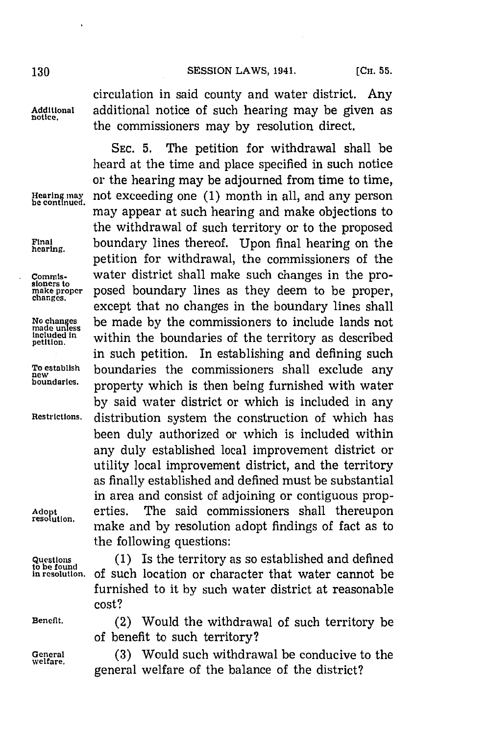## **130 SESSION** LAWS, 1941. **(CH. 55.**

**notice.**

**No cha**

circulation in said county arnd water district. Any **Additional** additional notice of such hearing may be given as the commissioners may **by** resolution direct.

**SEC. 5.** The petition for withdrawal shall be heard at the time and place specified in such notice or the hearing may be adjourned from time to time, Hearing may not exceeding one (1) month in all, and any person<br>be continued. may appear at such hearing and make objections to the withdrawal of such territory or to the proposed **Final** boundary lines thereof. Upon final hearing on the **hearing,** petition for withdrawal, the commissioners of the Commis- water district shall make such changes in the promake proper posed boundary lines as they deem to be proper,<br>changes. except that no changes in the boundary lines shall No changes be made by the commissioners to include lands not<br>made unless *unithin the boundaries of the territory as described* **included in** within the boundaries of the territory as described in such petition. In establishing and defining such **To establish** boundaries the commissioners shall exclude any **new boundaries,** property which is then being furnished with water **by** said water district or which is included in any **Restrictions,** distribution system the construction of which has been duly authorized or which is included within any duly established local improvement district or utility local improvement district, and the territory as finally established and defined must be substantial in area and consist of adjoining or contiguous prop-**Adopt** erties. The said commissioners shall thereupon make and by resolution adopt findings of fact as to the following questions:

**Questions (1)** Is the territory as so established and defined

cost?

**Beneflt.** (2) Would the withdrawal of such territory **be** of benefit to such territory?

of such location or character that water cannot be furnished to it **by** such water district at reasonable

**General (3)** Would such withdrawal be conducive to the general welfare of the balance of the district?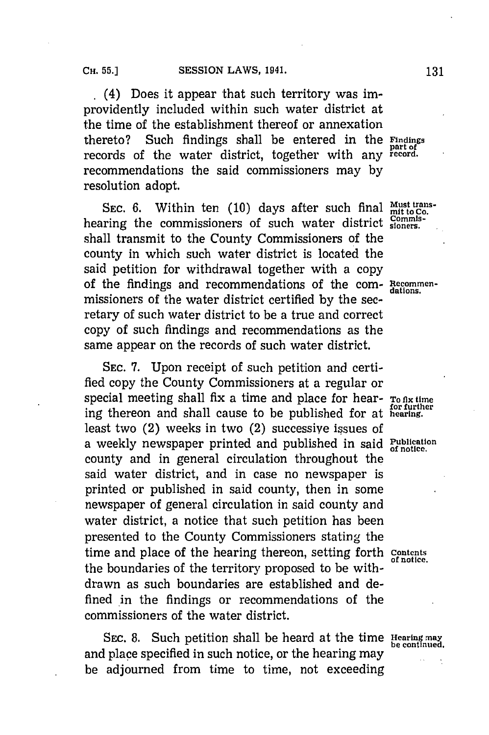(4) Does it appear that such territory was improvidently included within such water district at the time of the establishment thereof or annexation thereto? Such findings shall be entered in the **Findings** records of the water district, together with any **record.** recommendations the said commissioners may **by** resolution adopt.

SEC. 6. Within ten (10) days after such final Must transhearing the commissioners of such water district  $^{\rm Comm}_{\rm sioner}$ shall transmit to the County Commissioners of the county in which such water district is located the said petition for withdrawal together with a copy of the findings and recommendations of the com- Recommenmissioners of the water district certified **by** the secretary of such water district to be a true and correct copy of such findings and recommendations as the same appear on the records of such water district.

**SEC. 7.** Upon receipt of such petition and certified copy the County Commissioners at a regular or special meeting shall fix a time and place for hear-  $T_0$  flx time **for further** ing thereon and shall cause to be published for at **hearing.** least two (2) weeks in two (2) successive issues of a weekly newspaper printed and published in said Publication county and in general circulation throughout the said water district, and in case no newspaper is printed or published in said county, then in some newspaper of general circulation in said county and water district, a notice that such petition has been presented to the County Commissioners stating the time and place of the hearing thereon, setting forth contents the boundaries of the territory proposed to be withdrawn as such boundaries are established and defined in the findings or recommendations of the commissioners of the water district.

**SEC. 8.** Such petition shall be heard at the time **Hearinq may be contnued.** and place specified in such notice, or the hearing may be adjourned from time to time, not exceeding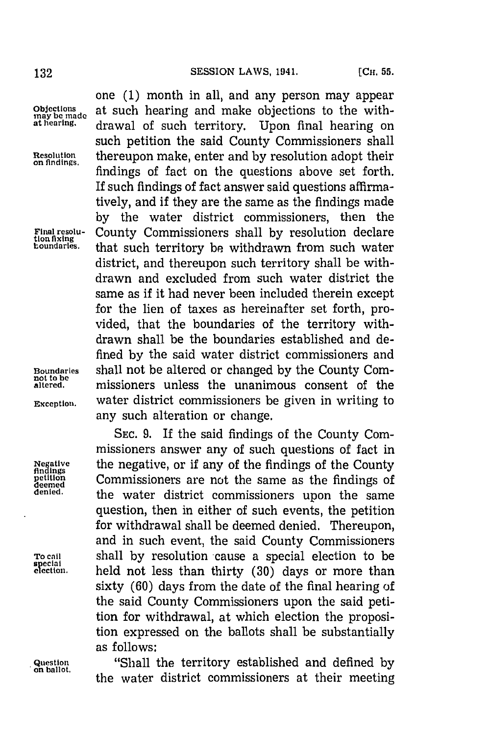**not to be**

one **(1)** month in all, and any person may appear Objections at such hearing and make objections to the with-<br> **inay** be made<br> **at hearing**, drawel of such territory. Hence final begring on **at cearing.** drawal of such territory. Upon final hearing on such petition the said County Commissioners shall **Resolution** thereupon make, enter and **by** resolution adopt their **on flndings.** findings of fact on the questions above set forth. If such findings of fact answer said questions affirmatively, and if they are the same as the findings made **by** the water district commissioners, then the **Final resolu-** County Commissioners shall by resolution declare<br>tion fixing <br>toundaries. that such termitory be withdrawn from such water that such territory be withdrawn from such water district, and thereupon such territory shall be withdrawn and excluded from such water district the same as if it had never been included therein except for the lien of taxes as hereinafter set forth, provided, that the boundaries of the territory withdrawn shall be the boundaries established and defined **by** the said water district commissioners and **Boundaries** shall not be altered or changed by the County Commissioners unless the unanimous consent of the **Exception,** water district commissioners be given in writing to any such alteration or change.

**SEC. 9.** If the said findings of the County Commissioners answer any of such questions of fact in Negative the negative, or if any of the findings of the County **etition** Commissioners are not the same as the findings of **denied,** the water district commissioners upon the same question, then in either of such events, the petition for withdrawal shall be deemed denied. Thereupon, and in such event, the said County Commissioners **To call** shall **by** resolution cause a special election to be held not less than thirty (30) days or more than sixty (60) days from the date of the final hearing of the said County Commissioners upon the said petition for withdrawal, at which election the proposition expressed on the ballots shall be substantially as follows:

**Question** "Shiall the territory established and defined **by** on allt. the water district commissioners at their meeting